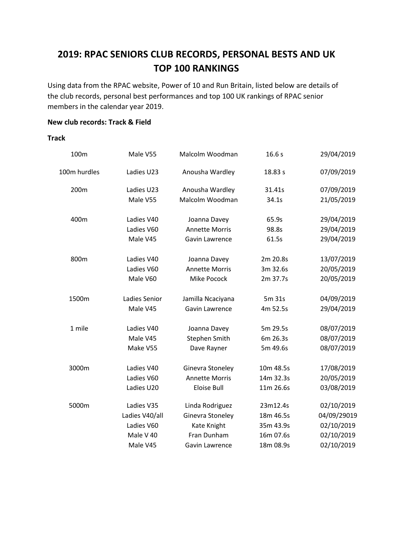# **2019: RPAC SENIORS CLUB RECORDS, PERSONAL BESTS AND UK TOP 100 RANKINGS**

Using data from the RPAC website, Power of 10 and Run Britain, listed below are details of the club records, personal best performances and top 100 UK rankings of RPAC senior members in the calendar year 2019.

### **New club records: Track & Field**

#### **Track**

| 100m         | Male V55       | Malcolm Woodman       | 16.6s     | 29/04/2019  |
|--------------|----------------|-----------------------|-----------|-------------|
| 100m hurdles | Ladies U23     | Anousha Wardley       | 18.83 s   | 07/09/2019  |
| 200m         | Ladies U23     | Anousha Wardley       | 31.41s    | 07/09/2019  |
|              | Male V55       | Malcolm Woodman       | 34.1s     | 21/05/2019  |
| 400m         | Ladies V40     | Joanna Davey          | 65.9s     | 29/04/2019  |
|              | Ladies V60     | <b>Annette Morris</b> | 98.8s     | 29/04/2019  |
|              | Male V45       | Gavin Lawrence        | 61.5s     | 29/04/2019  |
| 800m         | Ladies V40     | Joanna Davey          | 2m 20.8s  | 13/07/2019  |
|              | Ladies V60     | <b>Annette Morris</b> | 3m 32.6s  | 20/05/2019  |
|              | Male V60       | Mike Pocock           | 2m 37.7s  | 20/05/2019  |
| 1500m        | Ladies Senior  | Jamilla Ncaciyana     | 5m 31s    | 04/09/2019  |
|              | Male V45       | Gavin Lawrence        | 4m 52.5s  | 29/04/2019  |
| 1 mile       | Ladies V40     | Joanna Davey          | 5m 29.5s  | 08/07/2019  |
|              | Male V45       | <b>Stephen Smith</b>  | 6m 26.3s  | 08/07/2019  |
|              | Make V55       | Dave Rayner           | 5m 49.6s  | 08/07/2019  |
| 3000m        | Ladies V40     | Ginevra Stoneley      | 10m 48.5s | 17/08/2019  |
|              | Ladies V60     | <b>Annette Morris</b> | 14m 32.3s | 20/05/2019  |
|              | Ladies U20     | <b>Eloise Bull</b>    | 11m 26.6s | 03/08/2019  |
| 5000m        | Ladies V35     | Linda Rodriguez       | 23m12.4s  | 02/10/2019  |
|              | Ladies V40/all | Ginevra Stoneley      | 18m 46.5s | 04/09/29019 |
|              | Ladies V60     | Kate Knight           | 35m 43.9s | 02/10/2019  |
|              | Male V 40      | Fran Dunham           | 16m 07.6s | 02/10/2019  |
|              | Male V45       | Gavin Lawrence        | 18m 08.9s | 02/10/2019  |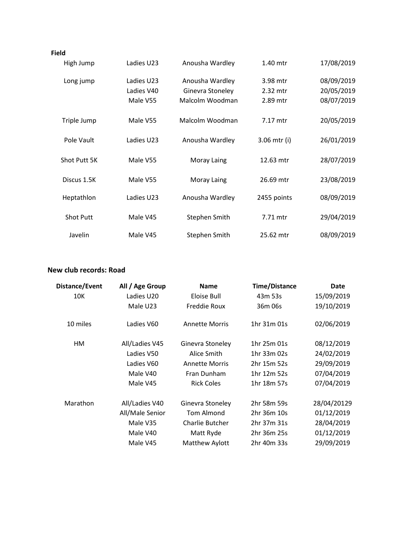#### **Field**

| High Jump        | Ladies U23 | Anousha Wardley  | 1.40 mtr     | 17/08/2019 |
|------------------|------------|------------------|--------------|------------|
| Long jump        | Ladies U23 | Anousha Wardley  | 3.98 mtr     | 08/09/2019 |
|                  | Ladies V40 | Ginevra Stoneley | 2.32 mtr     | 20/05/2019 |
|                  | Male V55   | Malcolm Woodman  | 2.89 mtr     | 08/07/2019 |
| Triple Jump      | Male V55   | Malcolm Woodman  | 7.17 mtr     | 20/05/2019 |
| Pole Vault       | Ladies U23 | Anousha Wardley  | 3.06 mtr (i) | 26/01/2019 |
| Shot Putt 5K     | Male V55   | Moray Laing      | 12.63 mtr    | 28/07/2019 |
| Discus 1.5K      | Male V55   | Moray Laing      | 26.69 mtr    | 23/08/2019 |
| Heptathlon       | Ladies U23 | Anousha Wardley  | 2455 points  | 08/09/2019 |
| <b>Shot Putt</b> | Male V45   | Stephen Smith    | 7.71 mtr     | 29/04/2019 |
| Javelin          | Male V45   | Stephen Smith    | 25.62 mtr    | 08/09/2019 |

### **New club records: Road**

| Distance/Event | All / Age Group | <b>Name</b>            | <b>Time/Distance</b> | <b>Date</b> |
|----------------|-----------------|------------------------|----------------------|-------------|
| 10K            | Ladies U20      | Eloise Bull            | 43m 53s              | 15/09/2019  |
|                | Male U23        | Freddie Roux           | 36m 06s              | 19/10/2019  |
| 10 miles       | Ladies V60      | <b>Annette Morris</b>  | 1hr 31m 01s          | 02/06/2019  |
| HМ             | All/Ladies V45  | Ginevra Stoneley       | 1hr 25m 01s          | 08/12/2019  |
|                | Ladies V50      | Alice Smith            | 1hr 33m 02s          | 24/02/2019  |
|                | Ladies V60      | <b>Annette Morris</b>  | 2hr 15m 52s          | 29/09/2019  |
|                | Male V40        | Fran Dunham            | 1hr 12m 52s          | 07/04/2019  |
|                | Male V45        | <b>Rick Coles</b>      | 1hr 18m 57s          | 07/04/2019  |
| Marathon       | All/Ladies V40  | Ginevra Stoneley       | 2hr 58m 59s          | 28/04/20129 |
|                | All/Male Senior | <b>Tom Almond</b>      | 2hr 36m 10s          | 01/12/2019  |
|                | Male V35        | <b>Charlie Butcher</b> | 2hr 37m 31s          | 28/04/2019  |
|                | Male V40        | Matt Ryde              | 2hr 36m 25s          | 01/12/2019  |
|                | Male V45        | Matthew Aylott         | 2hr 40m 33s          | 29/09/2019  |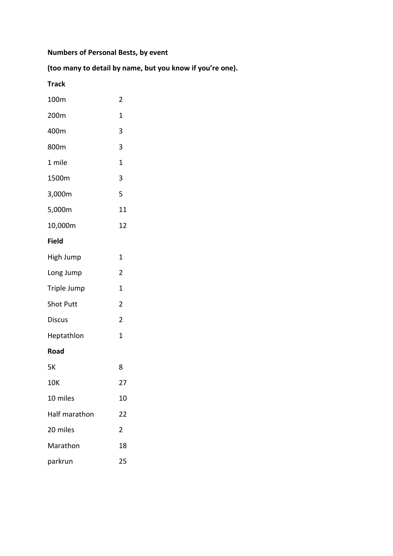## **Numbers of Personal Bests, by event**

### **(too many to detail by name, but you know if you're one).**

### **Track**

| 100m             | $\overline{c}$ |
|------------------|----------------|
| 200m             | 1              |
| 400m             | 3              |
| 800m             | 3              |
| 1 mile           | 1              |
| 1500m            | 3              |
| 3,000m           | 5              |
| 5,000m           | 11             |
| 10,000m          | 12             |
| <b>Field</b>     |                |
| High Jump        | 1              |
| Long Jump        | $\overline{2}$ |
| Triple Jump      | 1              |
| <b>Shot Putt</b> | $\overline{2}$ |
| <b>Discus</b>    | $\overline{2}$ |
| Heptathlon       | 1              |
| Road             |                |
| 5Κ               | 8              |
| 10K              | 27             |
| 10 miles         | 10             |
| Half marathon    | 22             |
| 20 miles         | 2              |
| Marathon         | 18             |
| parkrun          | 25             |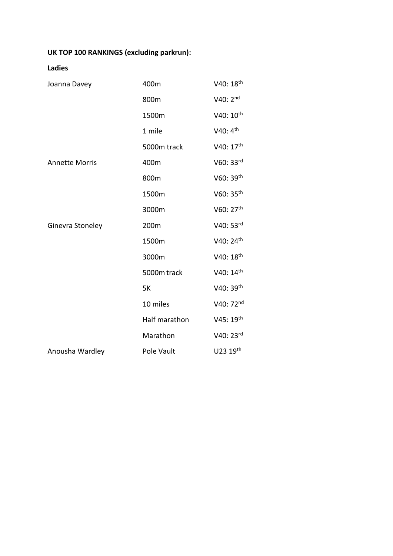## **UK TOP 100 RANKINGS (excluding parkrun):**

### **Ladies**

| Joanna Davey          | 400m          | V40: 18 <sup>th</sup> |
|-----------------------|---------------|-----------------------|
|                       | 800m          | $V40:2^{nd}$          |
|                       | 1500m         | V40: 10 <sup>th</sup> |
|                       | 1 mile        | V40: 4 <sup>th</sup>  |
|                       | 5000m track   | V40: 17 <sup>th</sup> |
| <b>Annette Morris</b> | 400m          | V60: 33rd             |
|                       | 800m          | V60: 39th             |
|                       | 1500m         | V60: 35th             |
|                       | 3000m         | V60: 27 <sup>th</sup> |
| Ginevra Stoneley      | 200m          | V40: 53rd             |
|                       | 1500m         | V40: 24 <sup>th</sup> |
|                       | 3000m         | V40: 18th             |
|                       | 5000m track   | V40: 14th             |
|                       | <b>5K</b>     | V40: 39th             |
|                       | 10 miles      | V40: 72nd             |
|                       | Half marathon | V45: 19th             |
|                       | Marathon      | V40: 23rd             |
| Anousha Wardley       | Pole Vault    | U23 19th              |